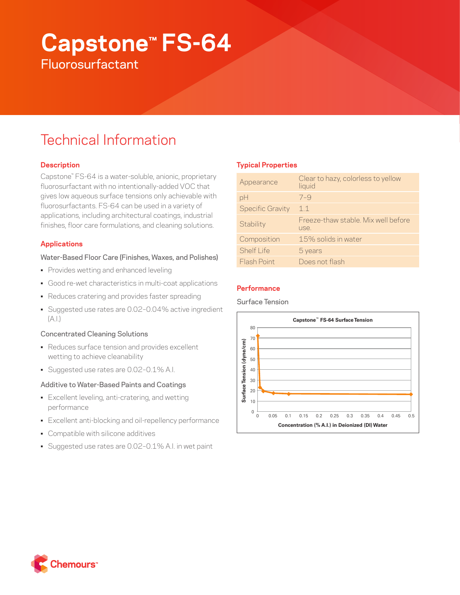# **Capstone™ FS-64**

**Fluorosurfactant** 

# Technical Information

# **Description**

Capstone™ FS-64 is a water-soluble, anionic, proprietary fluorosurfactant with no intentionally-added VOC that gives low aqueous surface tensions only achievable with fluorosurfactants. FS-64 can be used in a variety of applications, including architectural coatings, industrial finishes, floor care formulations, and cleaning solutions.

# **Applications**

# Water-Based Floor Care (Finishes, Waxes, and Polishes)

- Provides wetting and enhanced leveling
- Good re-wet characteristics in multi-coat applications
- Reduces cratering and provides faster spreading
- Suggested use rates are 0.02–0.04% active ingredient  $(A.1)$

# Concentrated Cleaning Solutions

- Reduces surface tension and provides excellent wetting to achieve cleanability
- Suggested use rates are 0.02–0.1% A.I.

# Additive to Water-Based Paints and Coatings

- Excellent leveling, anti-cratering, and wetting performance
- Excellent anti-blocking and oil-repellency performance
- Compatible with silicone additives
- Suggested use rates are 0.02–0.1% A.I. in wet paint

# **Typical Properties**

| Appearance              | Clear to hazy, colorless to yellow<br>liquid |
|-------------------------|----------------------------------------------|
| pH                      | $7 - 9$                                      |
| <b>Specific Gravity</b> | 11                                           |
| Stability               | Freeze-thaw stable. Mix well before<br>use.  |
| Composition             | 15% solids in water                          |
| <b>Shelf Life</b>       | 5 years                                      |
| Flash Point             | Does not flash                               |

# **Performance**

Surface Tension